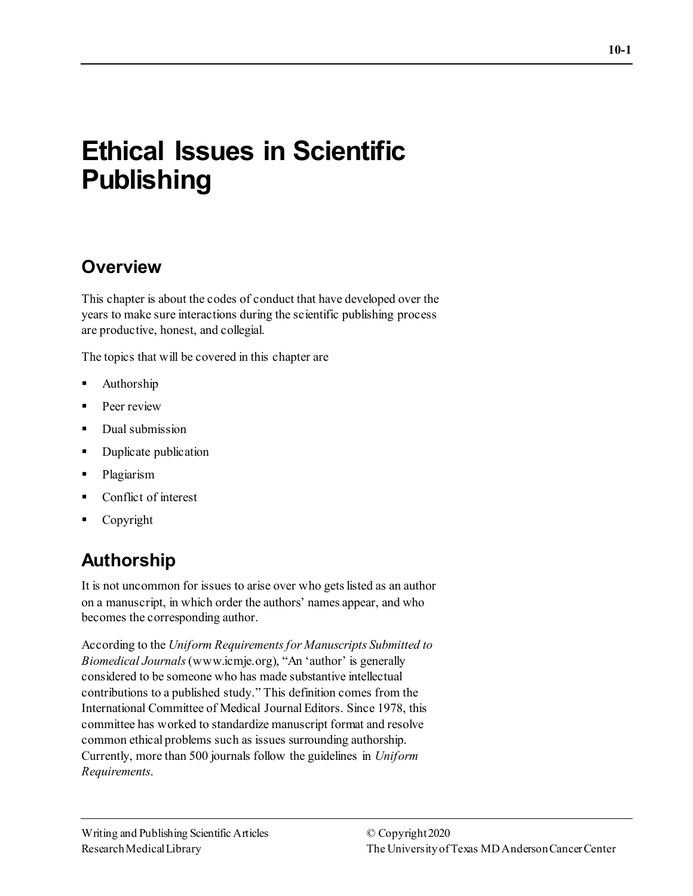# **Ethical Issues in Scientific Publishing**

# **Overview**

This chapter is about the codes of conduct that have developed over the years to make sure interactions during the scientific publishing process are productive, honest, and collegial.

The topics that will be covered in this chapter are

- Authorship
- **Peer review**
- Dual submission
- Duplicate publication
- **Plagiarism**
- Conflict of interest
- Copyright

# **Authorship**

It is not uncommon for issues to arise over who gets listed as an author on a manuscript, in which order the authors' names appear, and who becomes the corresponding author.

According to the *Uniform Requirements for Manuscripts Submitted to Biomedical Journals* (www.icmje.org), "An 'author' is generally considered to be someone who has made substantive intellectual contributions to a published study." This definition comes from the International Committee of Medical Journal Editors. Since 1978, this committee has worked to standardize manuscript format and resolve common ethical problems such as issues surrounding authorship. Currently, more than 500 journals follow the guidelines in *Uniform Requirements*.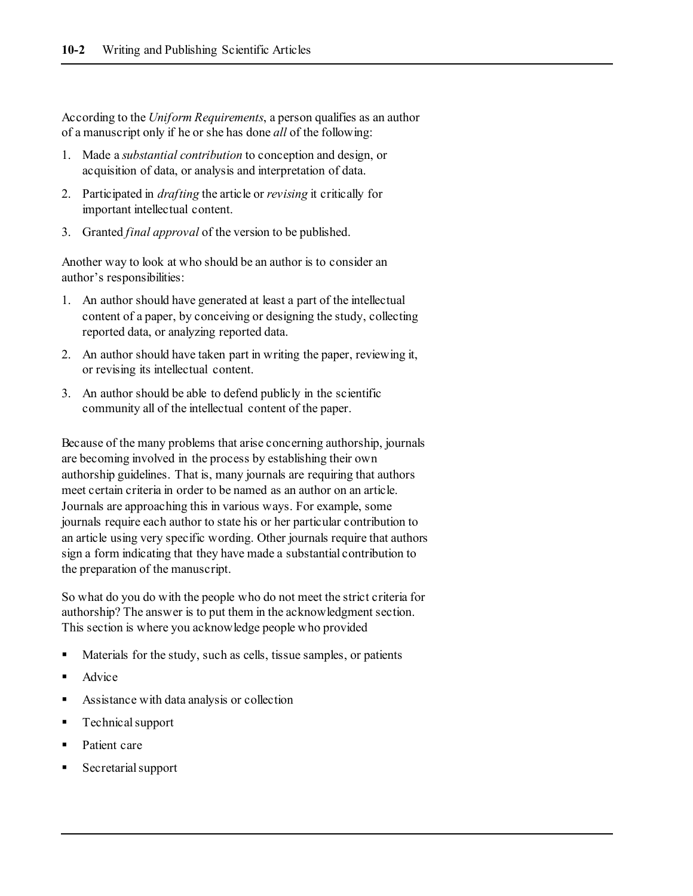According to the *Uniform Requirements*, a person qualifies as an author of a manuscript only if he or she has done *all* of the following:

- 1. Made a *substantial contribution* to conception and design, or acquisition of data, or analysis and interpretation of data.
- 2. Participated in *drafting* the article or *revising* it critically for important intellectual content.
- 3. Granted *final approval* of the version to be published.

Another way to look at who should be an author is to consider an author's responsibilities:

- 1. An author should have generated at least a part of the intellectual content of a paper, by conceiving or designing the study, collecting reported data, or analyzing reported data.
- 2. An author should have taken part in writing the paper, reviewing it, or revising its intellectual content.
- 3. An author should be able to defend publicly in the scientific community all of the intellectual content of the paper.

Because of the many problems that arise concerning authorship, journals are becoming involved in the process by establishing their own authorship guidelines. That is, many journals are requiring that authors meet certain criteria in order to be named as an author on an article. Journals are approaching this in various ways. For example, some journals require each author to state his or her particular contribution to an article using very specific wording. Other journals require that authors sign a form indicating that they have made a substantial contribution to the preparation of the manuscript.

So what do you do with the people who do not meet the strict criteria for authorship? The answer is to put them in the acknowledgment section. This section is where you acknowledge people who provided

- Materials for the study, such as cells, tissue samples, or patients
- Advice
- Assistance with data analysis or collection
- Technical support
- Patient care
- Secretarial support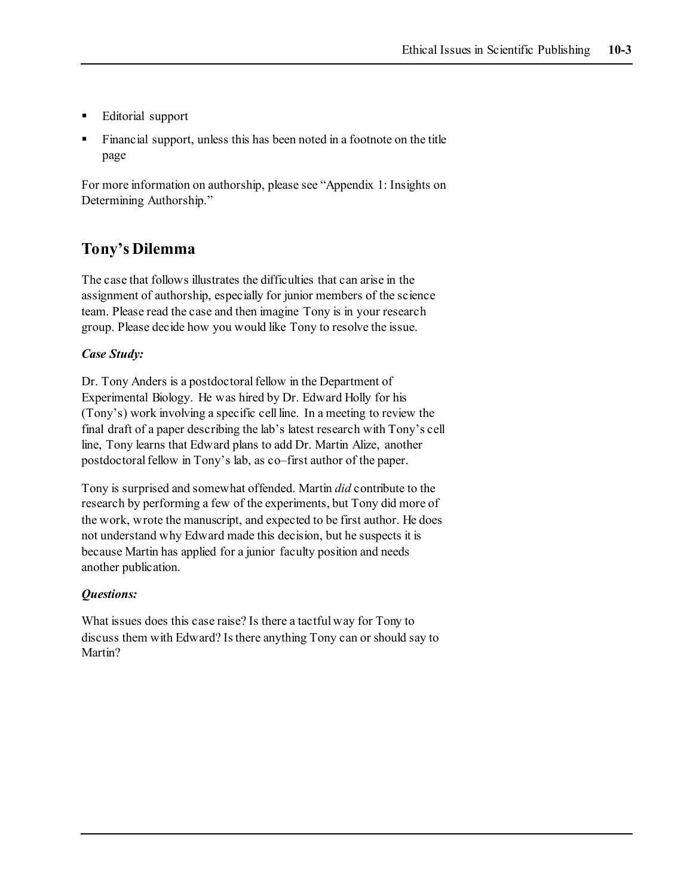- Editorial support
- Financial support, unless this has been noted in a footnote on the title page

For more information on authorship, please see "Appendix 1: Insights on Determining Authorship."

### **Tony's Dilemma**

The case that follows illustrates the difficulties that can arise in the assignment of authorship, especially for junior members of the science team. Please read the case and then imagine Tony is in your research group. Please decide how you would like Tony to resolve the issue.

#### *Case Study:*

Dr. Tony Anders is a postdoctoral fellow in the Department of Experimental Biology. He was hired by Dr. Edward Holly for his (Tony's) work involving a specific cell line. In a meeting to review the final draft of a paper describing the lab's latest research with Tony's cell line, Tony learns that Edward plans to add Dr. Martin Alize, another postdoctoral fellow in Tony's lab, as co–first author of the paper.

Tony is surprised and somewhat offended. Martin *did* contribute to the research by performing a few of the experiments, but Tony did more of the work, wrote the manuscript, and expected to be first author. He does not understand why Edward made this decision, but he suspects it is because Martin has applied for a junior faculty position and needs another publication.

#### *Questions:*

What issues does this case raise? Is there a tactful way for Tony to discuss them with Edward? Is there anything Tony can or should say to Martin?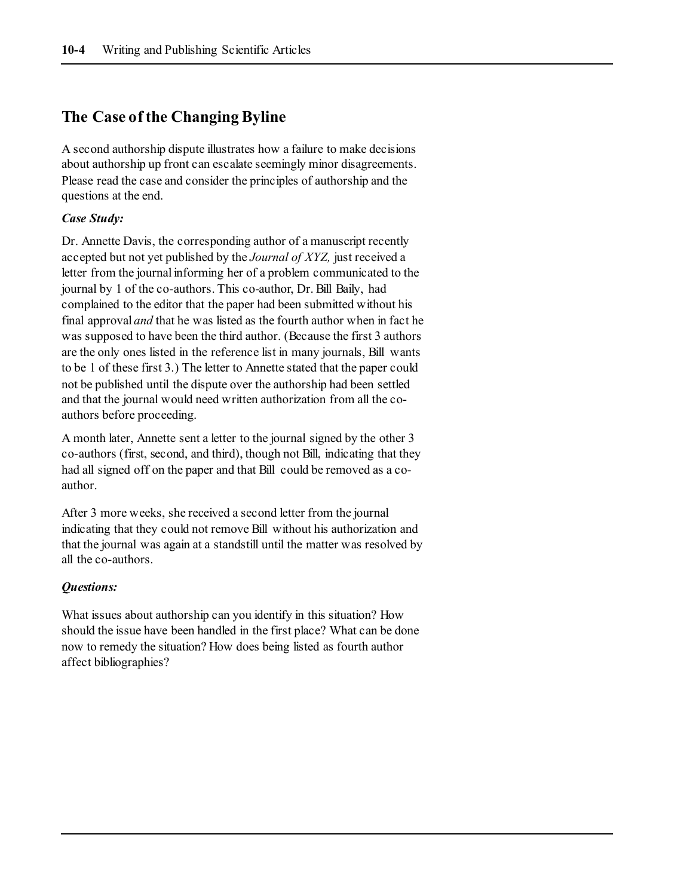## **The Case of the Changing Byline**

A second authorship dispute illustrates how a failure to make decisions about authorship up front can escalate seemingly minor disagreements. Please read the case and consider the principles of authorship and the questions at the end.

#### *Case Study:*

Dr. Annette Davis, the corresponding author of a manuscript recently accepted but not yet published by the *Journal of XYZ,* just received a letter from the journal informing her of a problem communicated to the journal by 1 of the co-authors. This co-author, Dr. Bill Baily, had complained to the editor that the paper had been submitted without his final approval *and* that he was listed as the fourth author when in fact he was supposed to have been the third author. (Because the first 3 authors are the only ones listed in the reference list in many journals, Bill wants to be 1 of these first 3.) The letter to Annette stated that the paper could not be published until the dispute over the authorship had been settled and that the journal would need written authorization from all the coauthors before proceeding.

A month later, Annette sent a letter to the journal signed by the other 3 co-authors (first, second, and third), though not Bill, indicating that they had all signed off on the paper and that Bill could be removed as a coauthor.

After 3 more weeks, she received a second letter from the journal indicating that they could not remove Bill without his authorization and that the journal was again at a standstill until the matter was resolved by all the co-authors.

#### *Questions:*

What issues about authorship can you identify in this situation? How should the issue have been handled in the first place? What can be done now to remedy the situation? How does being listed as fourth author affect bibliographies?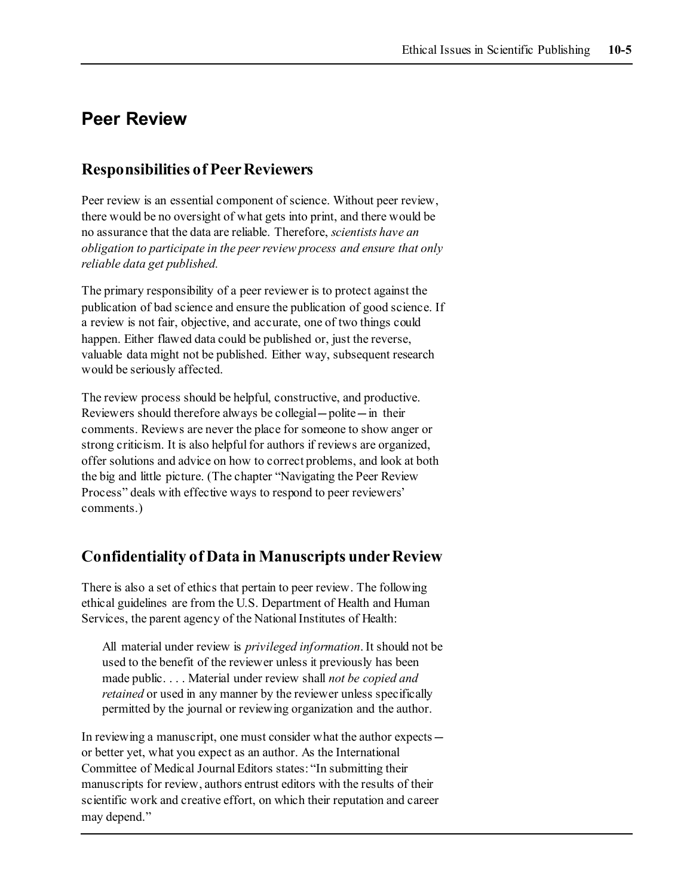# **Peer Review**

### **Responsibilities of Peer Reviewers**

Peer review is an essential component of science. Without peer review, there would be no oversight of what gets into print, and there would be no assurance that the data are reliable. Therefore, *scientists have an obligation to participate in the peer review process and ensure that only reliable data get published.*

The primary responsibility of a peer reviewer is to protect against the publication of bad science and ensure the publication of good science. If a review is not fair, objective, and accurate, one of two things could happen. Either flawed data could be published or, just the reverse, valuable data might not be published. Either way, subsequent research would be seriously affected.

The review process should be helpful, constructive, and productive. Reviewers should therefore always be collegial—polite—in their comments. Reviews are never the place for someone to show anger or strong criticism. It is also helpful for authors if reviews are organized, offer solutions and advice on how to correct problems, and look at both the big and little picture. (The chapter "Navigating the Peer Review Process" deals with effective ways to respond to peer reviewers' comments.)

### **Confidentiality of Data in Manuscripts under Review**

There is also a set of ethics that pertain to peer review. The following ethical guidelines are from the U.S. Department of Health and Human Services, the parent agency of the National Institutes of Health:

All material under review is *privileged information*. It should not be used to the benefit of the reviewer unless it previously has been made public. . . . Material under review shall *not be copied and retained* or used in any manner by the reviewer unless specifically permitted by the journal or reviewing organization and the author.

In reviewing a manuscript, one must consider what the author expects or better yet, what you expect as an author. As the International Committee of Medical Journal Editors states: "In submitting their manuscripts for review, authors entrust editors with the results of their scientific work and creative effort, on which their reputation and career may depend."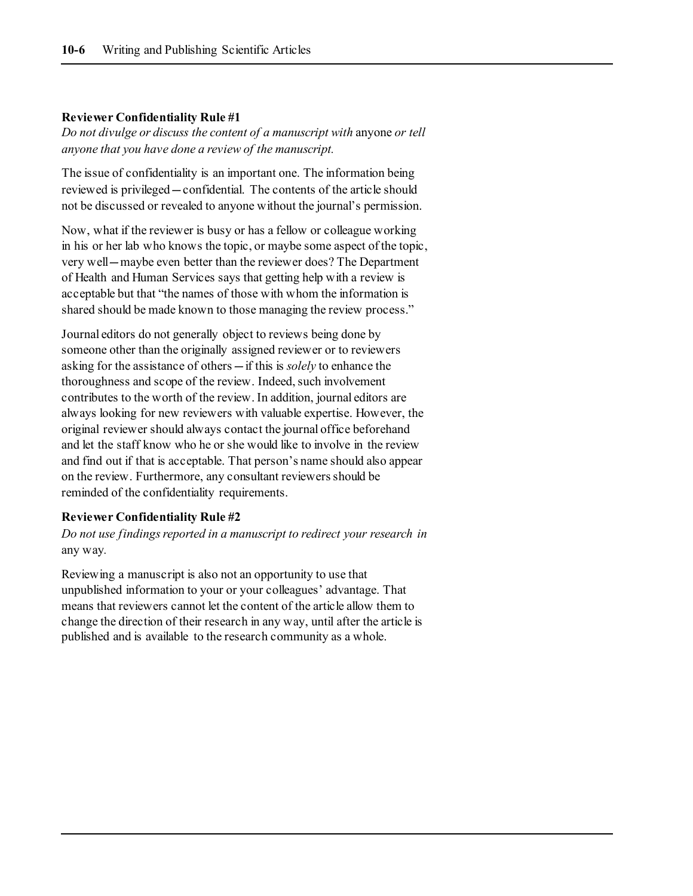#### **Reviewer Confidentiality Rule #1**

*Do not divulge or discuss the content of a manuscript with* anyone *or tell anyone that you have done a review of the manuscript.*

The issue of confidentiality is an important one. The information being reviewed is privileged—confidential. The contents of the article should not be discussed or revealed to anyone without the journal's permission.

Now, what if the reviewer is busy or has a fellow or colleague working in his or her lab who knows the topic, or maybe some aspect of the topic, very well—maybe even better than the reviewer does? The Department of Health and Human Services says that getting help with a review is acceptable but that "the names of those with whom the information is shared should be made known to those managing the review process."

Journal editors do not generally object to reviews being done by someone other than the originally assigned reviewer or to reviewers asking for the assistance of others—if this is *solely* to enhance the thoroughness and scope of the review. Indeed, such involvement contributes to the worth of the review. In addition, journal editors are always looking for new reviewers with valuable expertise. However, the original reviewer should always contact the journal office beforehand and let the staff know who he or she would like to involve in the review and find out if that is acceptable. That person's name should also appear on the review. Furthermore, any consultant reviewers should be reminded of the confidentiality requirements.

#### **Reviewer Confidentiality Rule #2**

*Do not use findings reported in a manuscript to redirect your research in*  any way*.* 

Reviewing a manuscript is also not an opportunity to use that unpublished information to your or your colleagues' advantage. That means that reviewers cannot let the content of the article allow them to change the direction of their research in any way, until after the article is published and is available to the research community as a whole.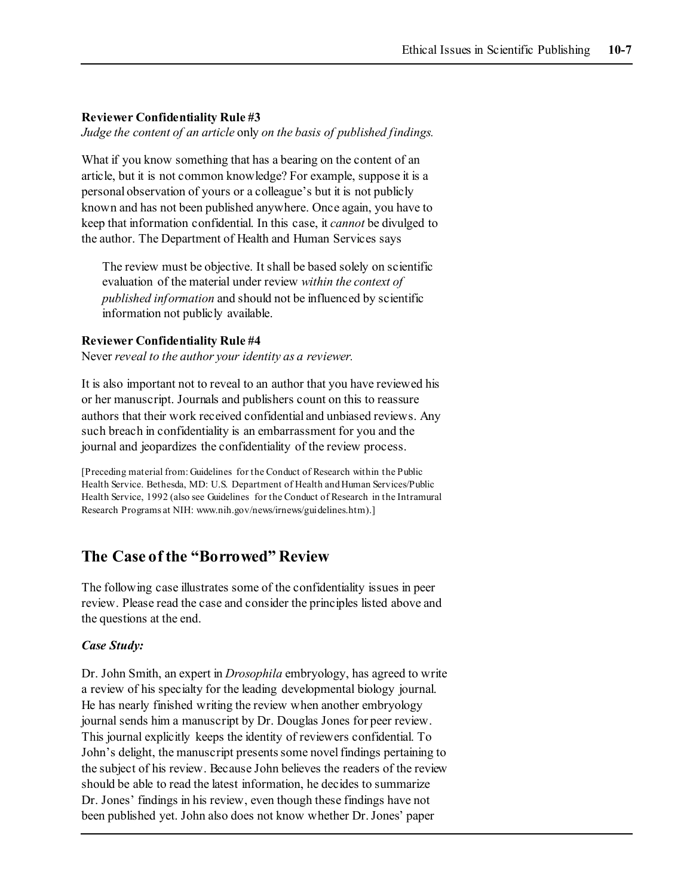#### **Reviewer Confidentiality Rule #3**

*Judge the content of an article* only *on the basis of published findings.*

What if you know something that has a bearing on the content of an article, but it is not common knowledge? For example, suppose it is a personal observation of yours or a colleague's but it is not publicly known and has not been published anywhere. Once again, you have to keep that information confidential. In this case, it *cannot* be divulged to the author. The Department of Health and Human Services says

The review must be objective. It shall be based solely on scientific evaluation of the material under review *within the context of published information* and should not be influenced by scientific information not publicly available.

#### **Reviewer Confidentiality Rule #4**

Never *reveal to the author your identity as a reviewer.*

It is also important not to reveal to an author that you have reviewed his or her manuscript. Journals and publishers count on this to reassure authors that their work received confidential and unbiased reviews. Any such breach in confidentiality is an embarrassment for you and the journal and jeopardizes the confidentiality of the review process.

[Preceding material from: Guidelines for the Conduct of Research within the Public Health Service. Bethesda, MD: U.S. Department of Health and Human Services/Public Health Service, 1992 (also see Guidelines for the Conduct of Research in the Intramural Research Programs at NIH[: www.nih.gov/news/irnews/guidelines.htm\).\]](http://www.nih.gov/news/irnews/guidelines.htm))

### **The Case of the "Borrowed" Review**

The following case illustrates some of the confidentiality issues in peer review. Please read the case and consider the principles listed above and the questions at the end.

#### *Case Study:*

Dr. John Smith, an expert in *Drosophila* embryology, has agreed to write a review of his specialty for the leading developmental biology journal. He has nearly finished writing the review when another embryology journal sends him a manuscript by Dr. Douglas Jones for peer review. This journal explicitly keeps the identity of reviewers confidential. To John's delight, the manuscript presents some novel findings pertaining to the subject of his review. Because John believes the readers of the review should be able to read the latest information, he decides to summarize Dr. Jones' findings in his review, even though these findings have not been published yet. John also does not know whether Dr. Jones' paper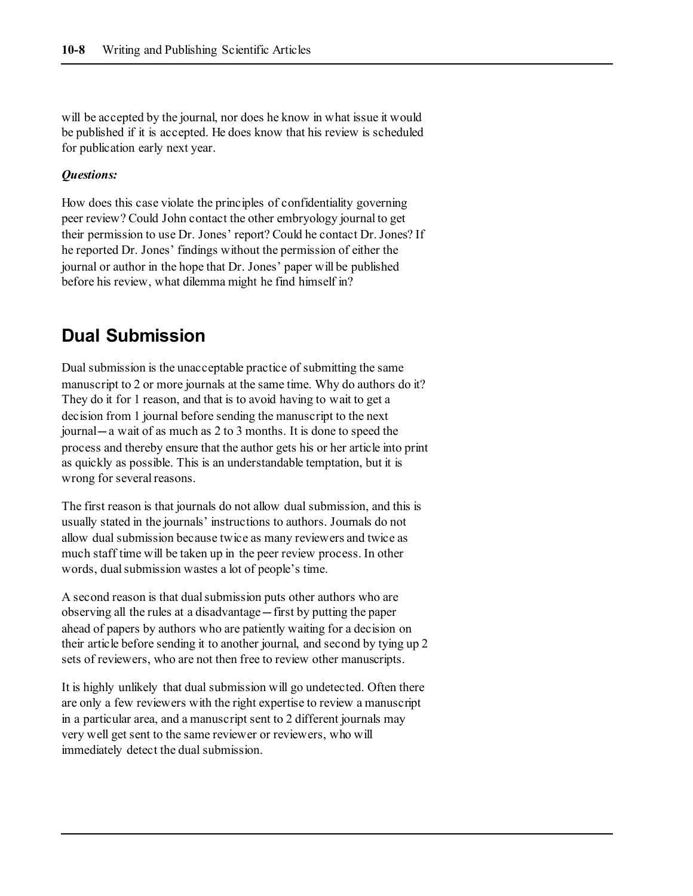will be accepted by the journal, nor does he know in what issue it would be published if it is accepted. He does know that his review is scheduled for publication early next year.

#### *Questions:*

How does this case violate the principles of confidentiality governing peer review? Could John contact the other embryology journal to get their permission to use Dr. Jones' report? Could he contact Dr. Jones? If he reported Dr. Jones' findings without the permission of either the journal or author in the hope that Dr. Jones' paper will be published before his review, what dilemma might he find himself in?

# **Dual Submission**

Dual submission is the unacceptable practice of submitting the same manuscript to 2 or more journals at the same time. Why do authors do it? They do it for 1 reason, and that is to avoid having to wait to get a decision from 1 journal before sending the manuscript to the next journal—a wait of as much as 2 to 3 months. It is done to speed the process and thereby ensure that the author gets his or her article into print as quickly as possible. This is an understandable temptation, but it is wrong for several reasons.

The first reason is that journals do not allow dual submission, and this is usually stated in the journals' instructions to authors. Journals do not allow dual submission because twice as many reviewers and twice as much staff time will be taken up in the peer review process. In other words, dual submission wastes a lot of people's time.

A second reason is that dual submission puts other authors who are observing all the rules at a disadvantage—first by putting the paper ahead of papers by authors who are patiently waiting for a decision on their article before sending it to another journal, and second by tying up 2 sets of reviewers, who are not then free to review other manuscripts.

It is highly unlikely that dual submission will go undetected. Often there are only a few reviewers with the right expertise to review a manuscript in a particular area, and a manuscript sent to 2 different journals may very well get sent to the same reviewer or reviewers, who will immediately detect the dual submission.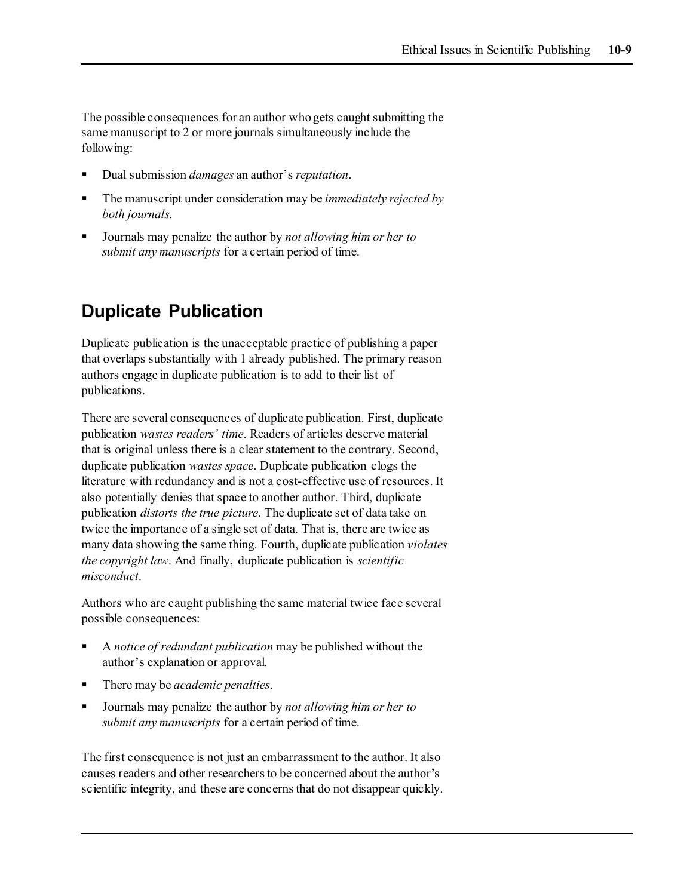The possible consequences for an author who gets caught submitting the same manuscript to 2 or more journals simultaneously include the following:

- Dual submission *damages* an author's *reputation*.
- The manuscript under consideration may be *immediately rejected by both journals*.
- Journals may penalize the author by *not allowing him or her to submit any manuscripts* for a certain period of time.

# **Duplicate Publication**

Duplicate publication is the unacceptable practice of publishing a paper that overlaps substantially with 1 already published. The primary reason authors engage in duplicate publication is to add to their list of publications.

There are several consequences of duplicate publication. First, duplicate publication *wastes readers' time*. Readers of articles deserve material that is original unless there is a clear statement to the contrary. Second, duplicate publication *wastes space*. Duplicate publication clogs the literature with redundancy and is not a cost-effective use of resources. It also potentially denies that space to another author. Third, duplicate publication *distorts the true picture*. The duplicate set of data take on twice the importance of a single set of data. That is, there are twice as many data showing the same thing. Fourth, duplicate publication *violates the copyright law*. And finally, duplicate publication is *scientific misconduct*.

Authors who are caught publishing the same material twice face several possible consequences:

- A *notice of redundant publication* may be published without the author's explanation or approval.
- There may be *academic penalties*.
- Journals may penalize the author by *not allowing him or her to submit any manuscripts* for a certain period of time.

The first consequence is not just an embarrassment to the author. It also causes readers and other researchers to be concerned about the author's scientific integrity, and these are concerns that do not disappear quickly.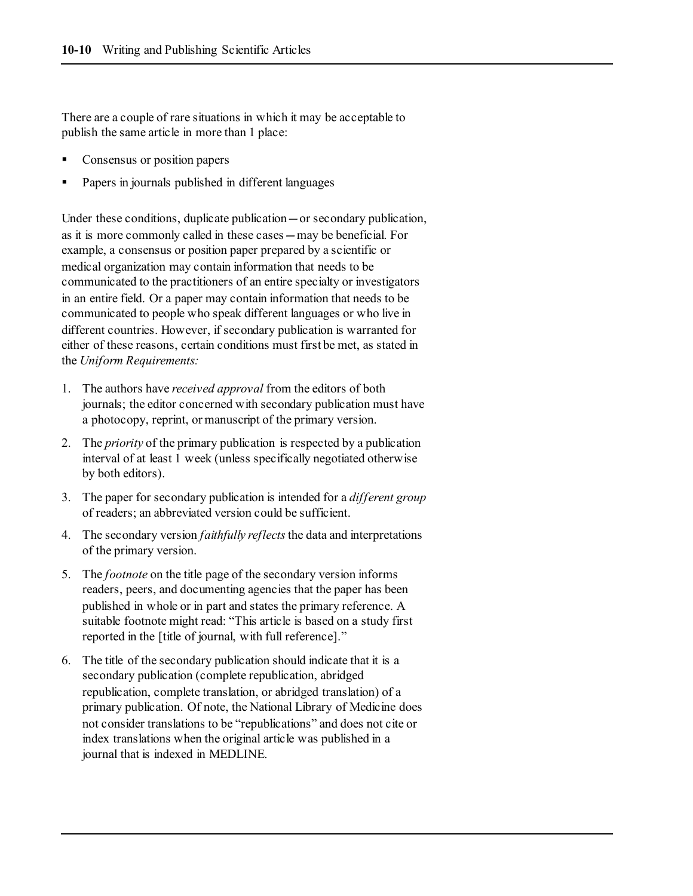There are a couple of rare situations in which it may be acceptable to publish the same article in more than 1 place:

- Consensus or position papers
- Papers in journals published in different languages

Under these conditions, duplicate publication—or secondary publication, as it is more commonly called in these cases—may be beneficial. For example, a consensus or position paper prepared by a scientific or medical organization may contain information that needs to be communicated to the practitioners of an entire specialty or investigators in an entire field. Or a paper may contain information that needs to be communicated to people who speak different languages or who live in different countries. However, if secondary publication is warranted for either of these reasons, certain conditions must first be met, as stated in the *Uniform Requirements:*

- 1. The authors have *received approval* from the editors of both journals; the editor concerned with secondary publication must have a photocopy, reprint, or manuscript of the primary version.
- 2. The *priority* of the primary publication is respected by a publication interval of at least 1 week (unless specifically negotiated otherwise by both editors).
- 3. The paper for secondary publication is intended for a *different group* of readers; an abbreviated version could be sufficient.
- 4. The secondary version *faithfully reflects*the data and interpretations of the primary version.
- 5. The *footnote* on the title page of the secondary version informs readers, peers, and documenting agencies that the paper has been published in whole or in part and states the primary reference. A suitable footnote might read: "This article is based on a study first reported in the [title of journal, with full reference]."
- 6. The title of the secondary publication should indicate that it is a secondary publication (complete republication, abridged republication, complete translation, or abridged translation) of a primary publication. Of note, the National Library of Medicine does not consider translations to be "republications" and does not cite or index translations when the original article was published in a journal that is indexed in MEDLINE.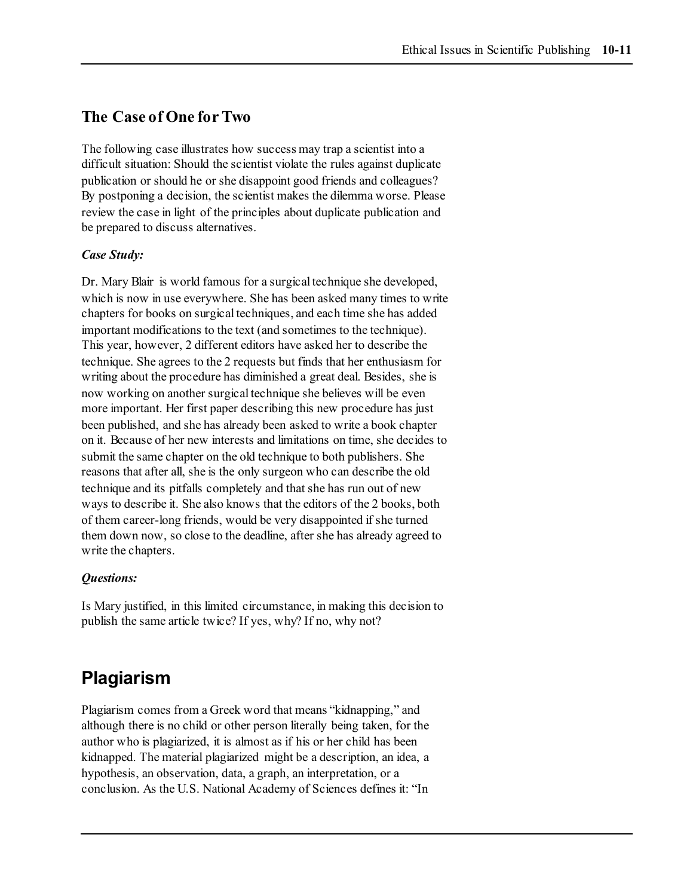## **The Case of One for Two**

The following case illustrates how success may trap a scientist into a difficult situation: Should the scientist violate the rules against duplicate publication or should he or she disappoint good friends and colleagues? By postponing a decision, the scientist makes the dilemma worse. Please review the case in light of the principles about duplicate publication and be prepared to discuss alternatives.

#### *Case Study:*

Dr. Mary Blair is world famous for a surgical technique she developed, which is now in use everywhere. She has been asked many times to write chapters for books on surgical techniques, and each time she has added important modifications to the text (and sometimes to the technique). This year, however, 2 different editors have asked her to describe the technique. She agrees to the 2 requests but finds that her enthusiasm for writing about the procedure has diminished a great deal. Besides, she is now working on another surgical technique she believes will be even more important. Her first paper describing this new procedure has just been published, and she has already been asked to write a book chapter on it. Because of her new interests and limitations on time, she decides to submit the same chapter on the old technique to both publishers. She reasons that after all, she is the only surgeon who can describe the old technique and its pitfalls completely and that she has run out of new ways to describe it. She also knows that the editors of the 2 books, both of them career-long friends, would be very disappointed if she turned them down now, so close to the deadline, after she has already agreed to write the chapters.

#### *Questions:*

Is Mary justified, in this limited circumstance, in making this decision to publish the same article twice? If yes, why? If no, why not?

# **Plagiarism**

Plagiarism comes from a Greek word that means "kidnapping," and although there is no child or other person literally being taken, for the author who is plagiarized, it is almost as if his or her child has been kidnapped. The material plagiarized might be a description, an idea, a hypothesis, an observation, data, a graph, an interpretation, or a conclusion. As the U.S. National Academy of Sciences defines it: "In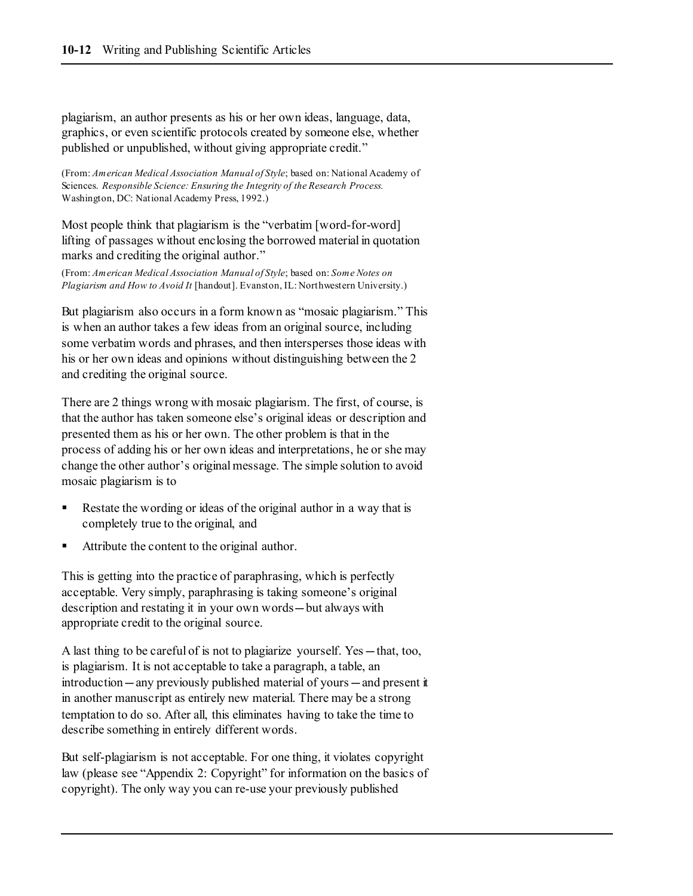plagiarism, an author presents as his or her own ideas, language, data, graphics, or even scientific protocols created by someone else, whether published or unpublished, without giving appropriate credit."

(From: *American Medical Association Manual of Style*; based on: National Academy of Sciences. *Responsible Science: Ensuring the Integrity of the Research Process.* Washington, DC: National Academy Press, 1992.)

Most people think that plagiarism is the "verbatim [word-for-word] lifting of passages without enclosing the borrowed material in quotation marks and crediting the original author."

(From: *American Medical Association Manual of Style*; based on: *Some Notes on Plagiarism and How to Avoid It* [handout]. Evanston, IL: Northwestern University.)

But plagiarism also occurs in a form known as "mosaic plagiarism." This is when an author takes a few ideas from an original source, including some verbatim words and phrases, and then intersperses those ideas with his or her own ideas and opinions without distinguishing between the 2 and crediting the original source.

There are 2 things wrong with mosaic plagiarism. The first, of course, is that the author has taken someone else's original ideas or description and presented them as his or her own. The other problem is that in the process of adding his or her own ideas and interpretations, he or she may change the other author's original message. The simple solution to avoid mosaic plagiarism is to

- Restate the wording or ideas of the original author in a way that is completely true to the original, and
- Attribute the content to the original author.

This is getting into the practice of paraphrasing, which is perfectly acceptable. Very simply, paraphrasing is taking someone's original description and restating it in your own words—but always with appropriate credit to the original source.

A last thing to be careful of is not to plagiarize yourself. Yes—that, too, is plagiarism. It is not acceptable to take a paragraph, a table, an introduction—any previously published material of yours—and present it in another manuscript as entirely new material. There may be a strong temptation to do so. After all, this eliminates having to take the time to describe something in entirely different words.

But self-plagiarism is not acceptable. For one thing, it violates copyright law (please see "Appendix 2: Copyright" for information on the basics of copyright). The only way you can re-use your previously published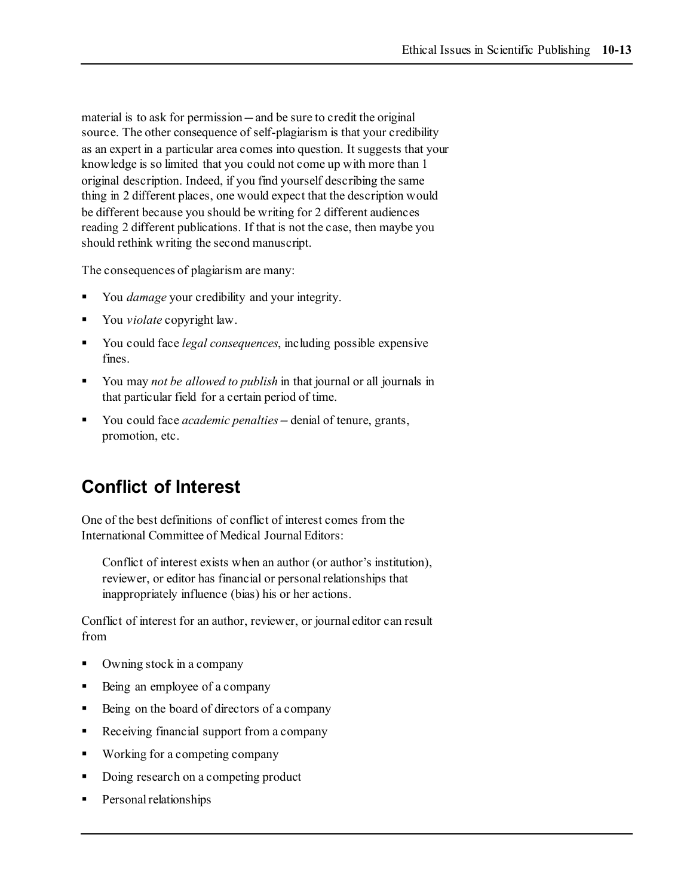material is to ask for permission—and be sure to credit the original source. The other consequence of self-plagiarism is that your credibility as an expert in a particular area comes into question. It suggests that your knowledge is so limited that you could not come up with more than 1 original description. Indeed, if you find yourself describing the same thing in 2 different places, one would expect that the description would be different because you should be writing for 2 different audiences reading 2 different publications. If that is not the case, then maybe you should rethink writing the second manuscript.

The consequences of plagiarism are many:

- You *damage* your credibility and your integrity.
- You *violate* copyright law.
- You could face *legal consequences*, including possible expensive fines.
- You may *not be allowed to publish* in that journal or all journals in that particular field for a certain period of time.
- You could face *academic penalties—*denial of tenure, grants, promotion, etc.

# **Conflict of Interest**

One of the best definitions of conflict of interest comes from the International Committee of Medical Journal Editors:

Conflict of interest exists when an author (or author's institution), reviewer, or editor has financial or personal relationships that inappropriately influence (bias) his or her actions.

Conflict of interest for an author, reviewer, or journal editor can result from

- Owning stock in a company
- Being an employee of a company
- Being on the board of directors of a company
- Receiving financial support from a company
- **Working for a competing company**
- Doing research on a competing product
- Personal relationships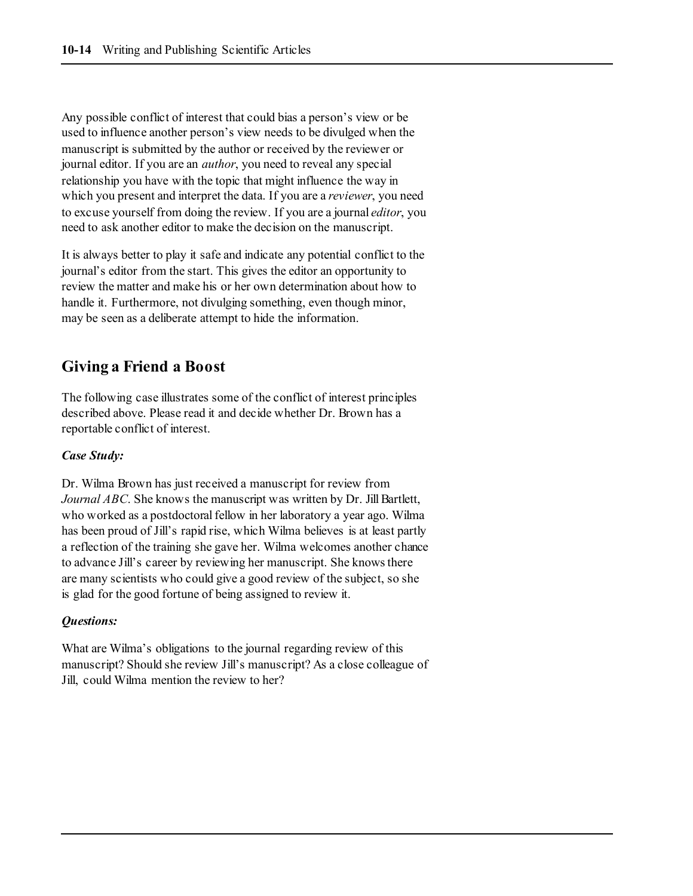Any possible conflict of interest that could bias a person's view or be used to influence another person's view needs to be divulged when the manuscript is submitted by the author or received by the reviewer or journal editor. If you are an *author*, you need to reveal any special relationship you have with the topic that might influence the way in which you present and interpret the data. If you are a *reviewer*, you need to excuse yourself from doing the review. If you are a journal *editor*, you need to ask another editor to make the decision on the manuscript.

It is always better to play it safe and indicate any potential conflict to the journal's editor from the start. This gives the editor an opportunity to review the matter and make his or her own determination about how to handle it. Furthermore, not divulging something, even though minor, may be seen as a deliberate attempt to hide the information.

# **Giving a Friend a Boost**

The following case illustrates some of the conflict of interest principles described above. Please read it and decide whether Dr. Brown has a reportable conflict of interest.

#### *Case Study:*

Dr. Wilma Brown has just received a manuscript for review from *Journal ABC*. She knows the manuscript was written by Dr. Jill Bartlett, who worked as a postdoctoral fellow in her laboratory a year ago. Wilma has been proud of Jill's rapid rise, which Wilma believes is at least partly a reflection of the training she gave her. Wilma welcomes another chance to advance Jill's career by reviewing her manuscript. She knows there are many scientists who could give a good review of the subject, so she is glad for the good fortune of being assigned to review it.

#### *Questions:*

What are Wilma's obligations to the journal regarding review of this manuscript? Should she review Jill's manuscript? As a close colleague of Jill, could Wilma mention the review to her?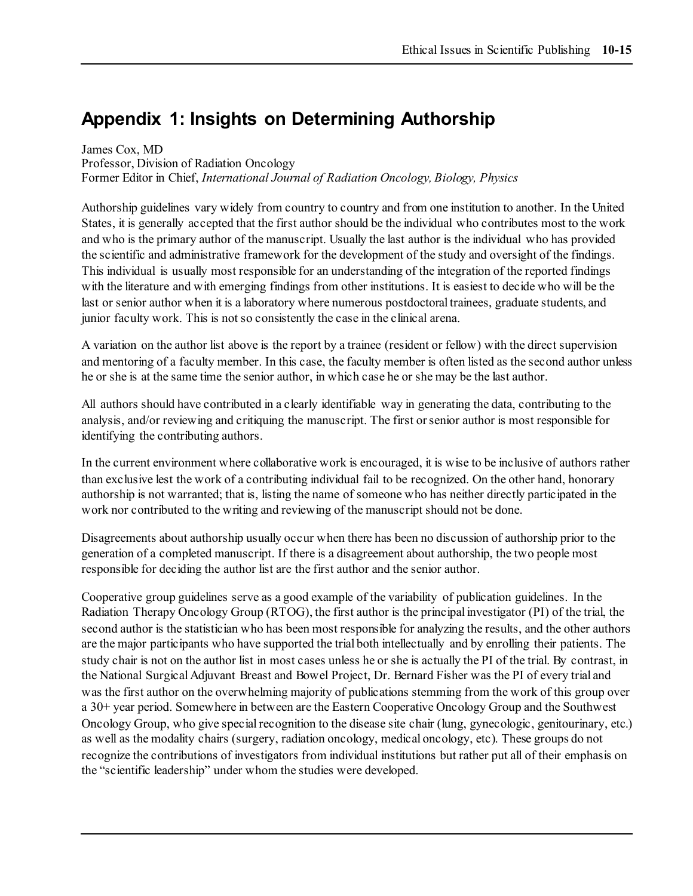# **Appendix 1: Insights on Determining Authorship**

James Cox, MD Professor, Division of Radiation Oncology Former Editor in Chief, *International Journal of Radiation Oncology, Biology, Physics*

Authorship guidelines vary widely from country to country and from one institution to another. In the United States, it is generally accepted that the first author should be the individual who contributes most to the work and who is the primary author of the manuscript. Usually the last author is the individual who has provided the scientific and administrative framework for the development of the study and oversight of the findings. This individual is usually most responsible for an understanding of the integration of the reported findings with the literature and with emerging findings from other institutions. It is easiest to decide who will be the last or senior author when it is a laboratory where numerous postdoctoral trainees, graduate students, and junior faculty work. This is not so consistently the case in the clinical arena.

A variation on the author list above is the report by a trainee (resident or fellow) with the direct supervision and mentoring of a faculty member. In this case, the faculty member is often listed as the second author unless he or she is at the same time the senior author, in which case he or she may be the last author.

All authors should have contributed in a clearly identifiable way in generating the data, contributing to the analysis, and/or reviewing and critiquing the manuscript. The first or senior author is most responsible for identifying the contributing authors.

In the current environment where collaborative work is encouraged, it is wise to be inclusive of authors rather than exclusive lest the work of a contributing individual fail to be recognized. On the other hand, honorary authorship is not warranted; that is, listing the name of someone who has neither directly participated in the work nor contributed to the writing and reviewing of the manuscript should not be done.

Disagreements about authorship usually occur when there has been no discussion of authorship prior to the generation of a completed manuscript. If there is a disagreement about authorship, the two people most responsible for deciding the author list are the first author and the senior author.

Cooperative group guidelines serve as a good example of the variability of publication guidelines. In the Radiation Therapy Oncology Group (RTOG), the first author is the principal investigator (PI) of the trial, the second author is the statistician who has been most responsible for analyzing the results, and the other authors are the major participants who have supported the trial both intellectually and by enrolling their patients. The study chair is not on the author list in most cases unless he or she is actually the PI of the trial. By contrast, in the National Surgical Adjuvant Breast and Bowel Project, Dr. Bernard Fisher was the PI of every trial and was the first author on the overwhelming majority of publications stemming from the work of this group over a 30+ year period. Somewhere in between are the Eastern Cooperative Oncology Group and the Southwest Oncology Group, who give special recognition to the disease site chair (lung, gynecologic, genitourinary, etc.) as well as the modality chairs (surgery, radiation oncology, medical oncology, etc). These groups do not recognize the contributions of investigators from individual institutions but rather put all of their emphasis on the "scientific leadership" under whom the studies were developed.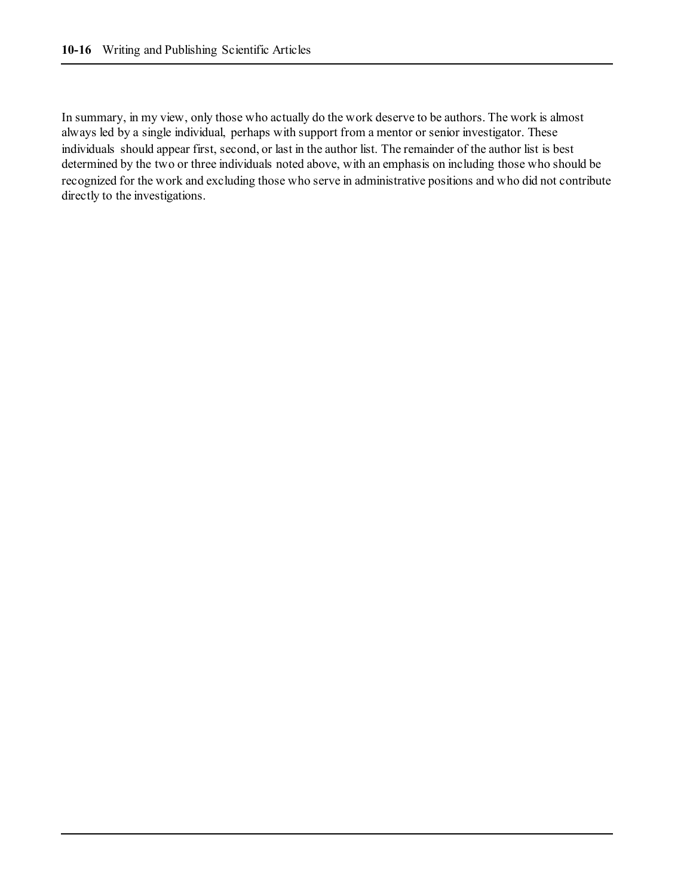In summary, in my view, only those who actually do the work deserve to be authors. The work is almost always led by a single individual, perhaps with support from a mentor or senior investigator. These individuals should appear first, second, or last in the author list. The remainder of the author list is best determined by the two or three individuals noted above, with an emphasis on including those who should be recognized for the work and excluding those who serve in administrative positions and who did not contribute directly to the investigations.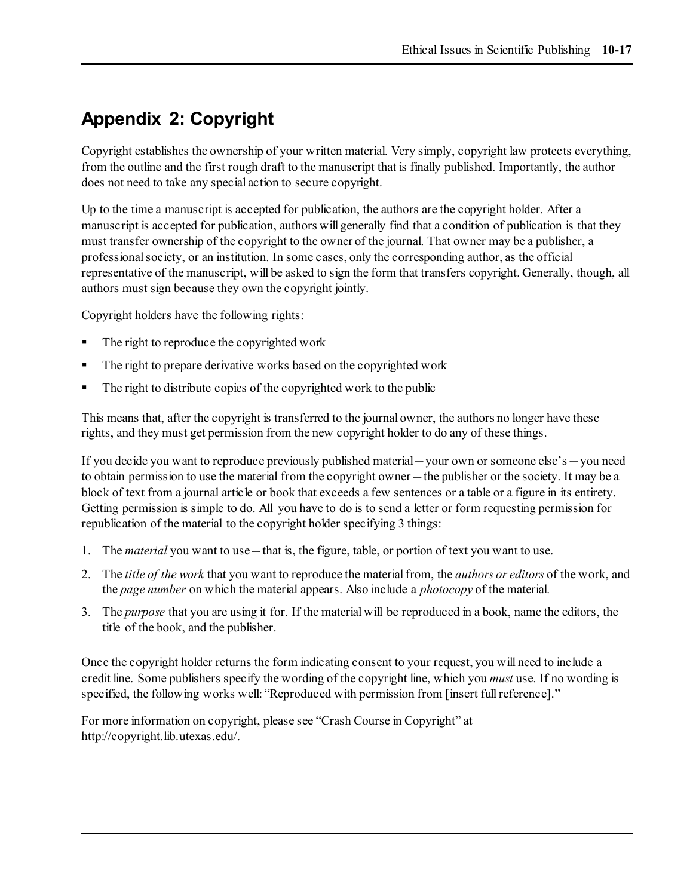# **Appendix 2: Copyright**

Copyright establishes the ownership of your written material. Very simply, copyright law protects everything, from the outline and the first rough draft to the manuscript that is finally published. Importantly, the author does not need to take any special action to secure copyright.

Up to the time a manuscript is accepted for publication, the authors are the copyright holder. After a manuscript is accepted for publication, authors will generally find that a condition of publication is that they must transfer ownership of the copyright to the owner of the journal. That owner may be a publisher, a professional society, or an institution. In some cases, only the corresponding author, as the official representative of the manuscript, will be asked to sign the form that transfers copyright. Generally, though, all authors must sign because they own the copyright jointly.

Copyright holders have the following rights:

- The right to reproduce the copyrighted work
- The right to prepare derivative works based on the copyrighted work
- The right to distribute copies of the copyrighted work to the public

This means that, after the copyright is transferred to the journal owner, the authors no longer have these rights, and they must get permission from the new copyright holder to do any of these things.

If you decide you want to reproduce previously published material—your own or someone else's—you need to obtain permission to use the material from the copyright owner—the publisher or the society. It may be a block of text from a journal article or book that exceeds a few sentences or a table or a figure in its entirety. Getting permission is simple to do. All you have to do is to send a letter or form requesting permission for republication of the material to the copyright holder specifying 3 things:

- 1. The *material* you want to use—that is, the figure, table, or portion of text you want to use.
- 2. The *title of the work* that you want to reproduce the material from, the *authors or editors* of the work, and the *page number* on which the material appears. Also include a *photocopy* of the material.
- 3. The *purpose* that you are using it for. If the material will be reproduced in a book, name the editors, the title of the book, and the publisher.

Once the copyright holder returns the form indicating consent to your request, you will need to include a credit line. Some publishers specify the wording of the copyright line, which you *must* use. If no wording is specified, the following works well: "Reproduced with permission from [insert full reference]."

For more information on copyright, please see "Crash Course in Copyright" at http://copyright.lib.utexas.edu/.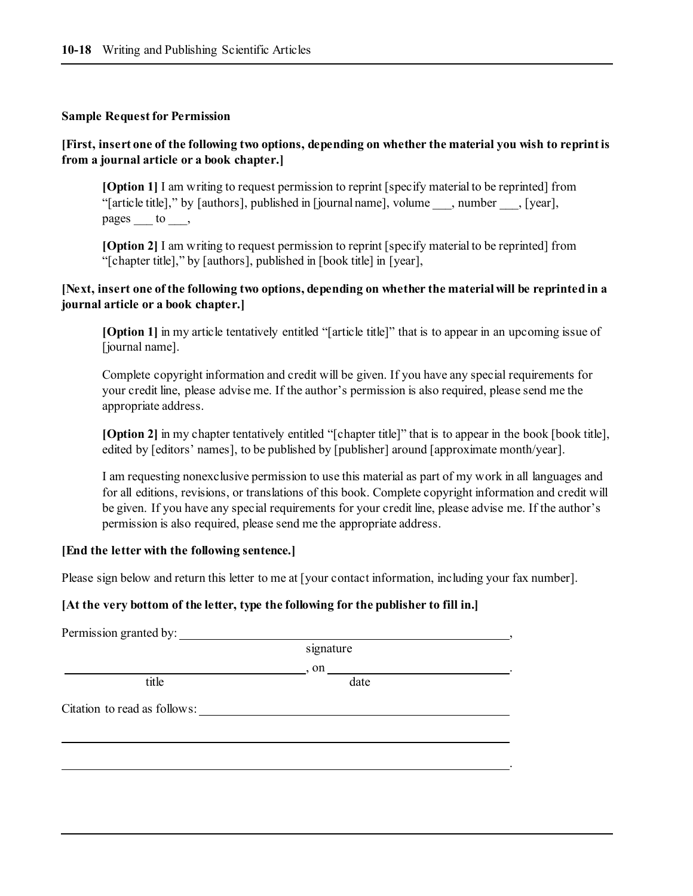#### **Sample Request for Permission**

#### **[First, insert one of the following two options, depending on whether the material you wish to reprint is from a journal article or a book chapter.]**

**[Option 1]** I am writing to request permission to reprint [specify material to be reprinted] from "[article title]," by [authors], published in [journal name], volume \_\_\_, number \_\_\_, [year], pages to ,

**[Option 2]** I am writing to request permission to reprint [specify material to be reprinted] from "[chapter title]," by [authors], published in [book title] in [year],

#### **[Next, insert one of the following two options, depending on whether the material will be reprinted in a journal article or a book chapter.]**

**[Option 1]** in my article tentatively entitled "[article title]" that is to appear in an upcoming issue of [journal name].

Complete copyright information and credit will be given. If you have any special requirements for your credit line, please advise me. If the author's permission is also required, please send me the appropriate address.

**[Option 2]** in my chapter tentatively entitled "[chapter title]" that is to appear in the book [book title], edited by [editors' names], to be published by [publisher] around [approximate month/year].

I am requesting nonexclusive permission to use this material as part of my work in all languages and for all editions, revisions, or translations of this book. Complete copyright information and credit will be given. If you have any special requirements for your credit line, please advise me. If the author's permission is also required, please send me the appropriate address.

#### **[End the letter with the following sentence.]**

Please sign below and return this letter to me at [your contact information, including your fax number].

#### **[At the very bottom of the letter, type the following for the publisher to fill in.]**

| Permission granted by:       |           |  |
|------------------------------|-----------|--|
|                              | signature |  |
|                              | , on      |  |
| title                        | date      |  |
| Citation to read as follows: |           |  |
|                              |           |  |
|                              |           |  |
|                              |           |  |
|                              |           |  |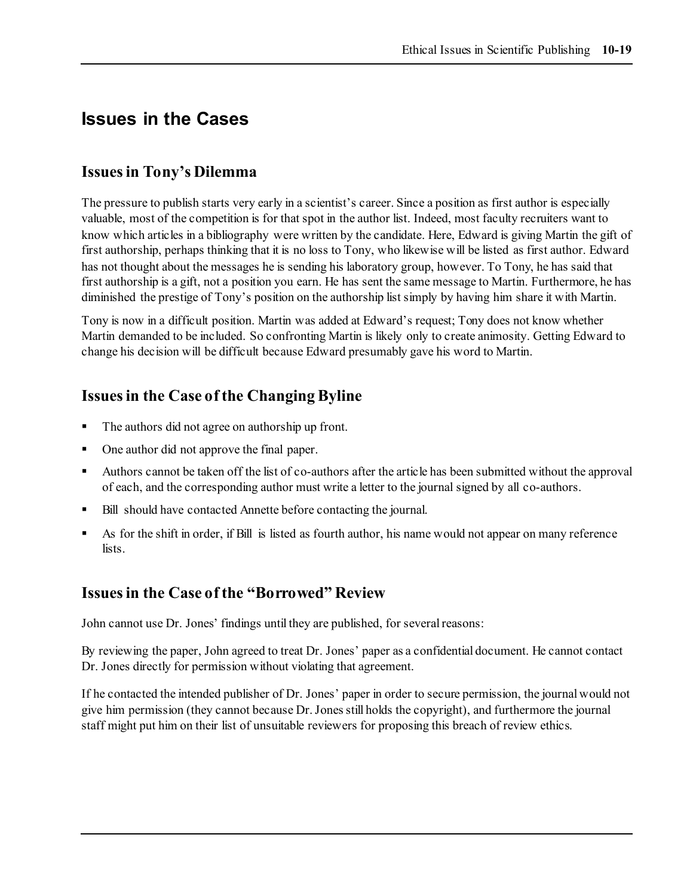# **Issues in the Cases**

## **Issues in Tony's Dilemma**

The pressure to publish starts very early in a scientist's career. Since a position as first author is especially valuable, most of the competition is for that spot in the author list. Indeed, most faculty recruiters want to know which articles in a bibliography were written by the candidate. Here, Edward is giving Martin the gift of first authorship, perhaps thinking that it is no loss to Tony, who likewise will be listed as first author. Edward has not thought about the messages he is sending his laboratory group, however. To Tony, he has said that first authorship is a gift, not a position you earn. He has sent the same message to Martin. Furthermore, he has diminished the prestige of Tony's position on the authorship list simply by having him share it with Martin.

Tony is now in a difficult position. Martin was added at Edward's request; Tony does not know whether Martin demanded to be included. So confronting Martin is likely only to create animosity. Getting Edward to change his decision will be difficult because Edward presumably gave his word to Martin.

# **Issues in the Case of the Changing Byline**

- The authors did not agree on authorship up front.
- One author did not approve the final paper.
- Authors cannot be taken off the list of co-authors after the article has been submitted without the approval of each, and the corresponding author must write a letter to the journal signed by all co-authors.
- Bill should have contacted Annette before contacting the journal.
- As for the shift in order, if Bill is listed as fourth author, his name would not appear on many reference lists.

# **Issues in the Case of the "Borrowed" Review**

John cannot use Dr. Jones' findings until they are published, for several reasons:

By reviewing the paper, John agreed to treat Dr. Jones' paper as a confidential document. He cannot contact Dr. Jones directly for permission without violating that agreement.

If he contacted the intended publisher of Dr. Jones' paper in order to secure permission, the journal would not give him permission (they cannot because Dr. Jones still holds the copyright), and furthermore the journal staff might put him on their list of unsuitable reviewers for proposing this breach of review ethics.